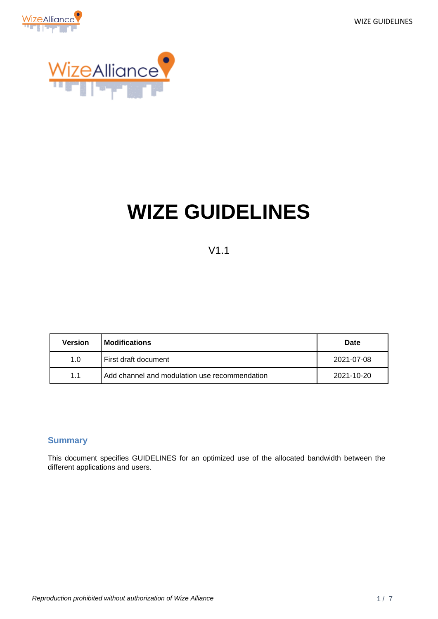WIZE GUIDELINES





# **WIZE GUIDELINES**

### V1.1

| Version | <b>Modifications</b>                          | Date       |
|---------|-----------------------------------------------|------------|
| 1.0     | First draft document                          | 2021-07-08 |
| 1.1     | Add channel and modulation use recommendation | 2021-10-20 |

#### <span id="page-0-0"></span>**Summary**

This document specifies GUIDELINES for an optimized use of the allocated bandwidth between the different applications and users.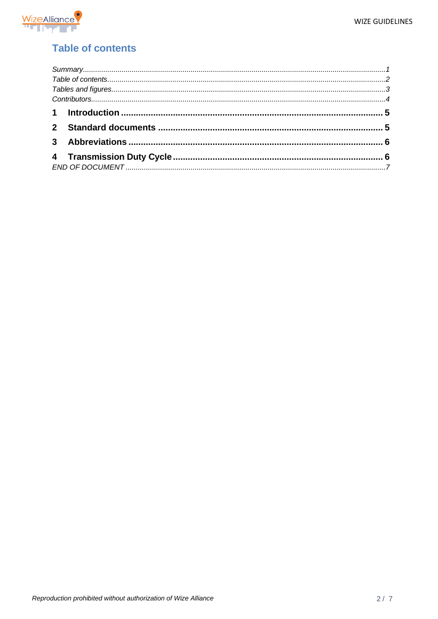

## <span id="page-1-0"></span>**Table of contents**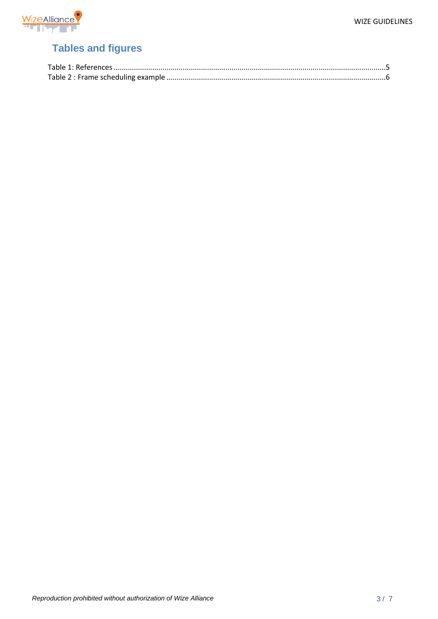

# <span id="page-2-0"></span>**Tables and figures**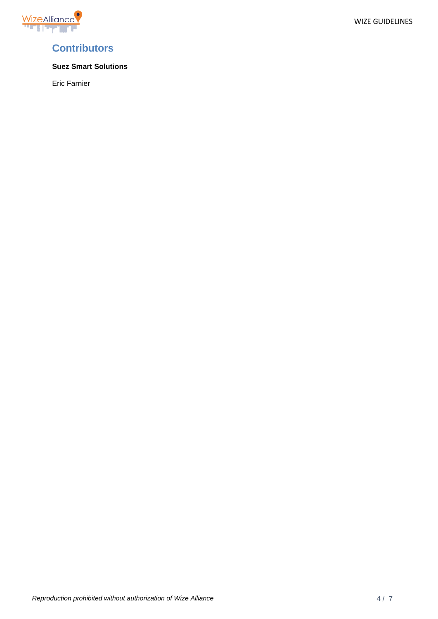

### <span id="page-3-0"></span>**Contributors**

#### **Suez Smart Solutions**

Eric Farnier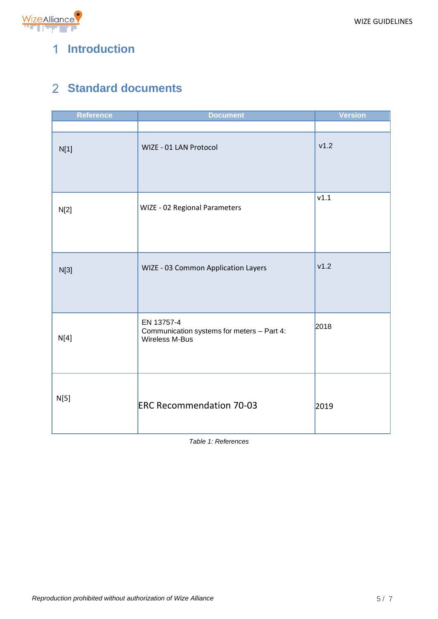



# <span id="page-4-0"></span>**Introduction**

# <span id="page-4-1"></span>**Standard documents**

| <b>Reference</b> | <b>Document</b>                                                            | <b>Version</b> |
|------------------|----------------------------------------------------------------------------|----------------|
|                  |                                                                            |                |
| N[1]             | WIZE - 01 LAN Protocol                                                     | v1.2           |
| N[2]             | WIZE - 02 Regional Parameters                                              |                |
| N[3]             | WIZE - 03 Common Application Layers                                        | v1.2           |
| N[4]             | EN 13757-4<br>Communication systems for meters - Part 4:<br>Wireless M-Bus | 2018           |
| N[5]             | <b>ERC Recommendation 70-03</b>                                            | 2019           |

<span id="page-4-2"></span>*Table 1: References*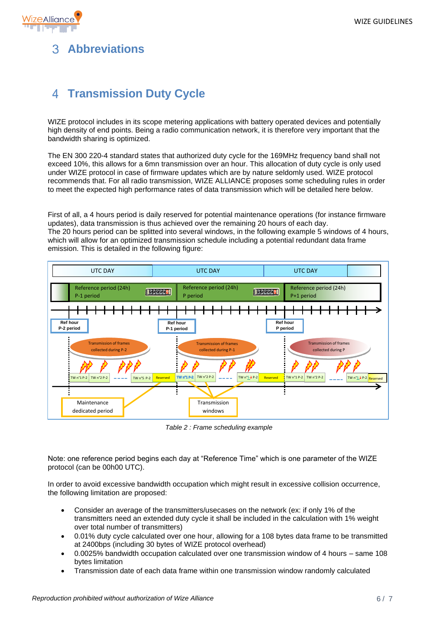

# <span id="page-5-0"></span>**Abbreviations**

# <span id="page-5-1"></span>**Transmission Duty Cycle**

WIZE protocol includes in its scope metering applications with battery operated devices and potentially high density of end points. Being a radio communication network, it is therefore very important that the bandwidth sharing is optimized.

The EN 300 220-4 standard states that authorized duty cycle for the 169MHz frequency band shall not exceed 10%, this allows for a 6mn transmission over an hour. This allocation of duty cycle is only used under WIZE protocol in case of firmware updates which are by nature seldomly used. WIZE protocol recommends that. For all radio transmission, WIZE ALLIANCE proposes some scheduling rules in order to meet the expected high performance rates of data transmission which will be detailed here below.

First of all, a 4 hours period is daily reserved for potential maintenance operations (for instance firmware updates), data transmission is thus achieved over the remaining 20 hours of each day. The 20 hours period can be splitted into several windows, in the following example 5 windows of 4 hours, which will allow for an optimized transmission schedule including a potential redundant data frame emission. This is detailed in the following figure:



*Table 2 : Frame scheduling example*

<span id="page-5-2"></span>Note: one reference period begins each day at "Reference Time" which is one parameter of the WIZE protocol (can be 00h00 UTC).

In order to avoid excessive bandwidth occupation which might result in excessive collision occurrence, the following limitation are proposed:

- Consider an average of the transmitters/usecases on the network (ex: if only 1% of the transmitters need an extended duty cycle it shall be included in the calculation with 1% weight over total number of transmitters)
- 0.01% duty cycle calculated over one hour, allowing for a 108 bytes data frame to be transmitted at 2400bps (including 30 bytes of WIZE protocol overhead)
- 0.0025% bandwidth occupation calculated over one transmission window of 4 hours same 108 bytes limitation
- Transmission date of each data frame within one transmission window randomly calculated